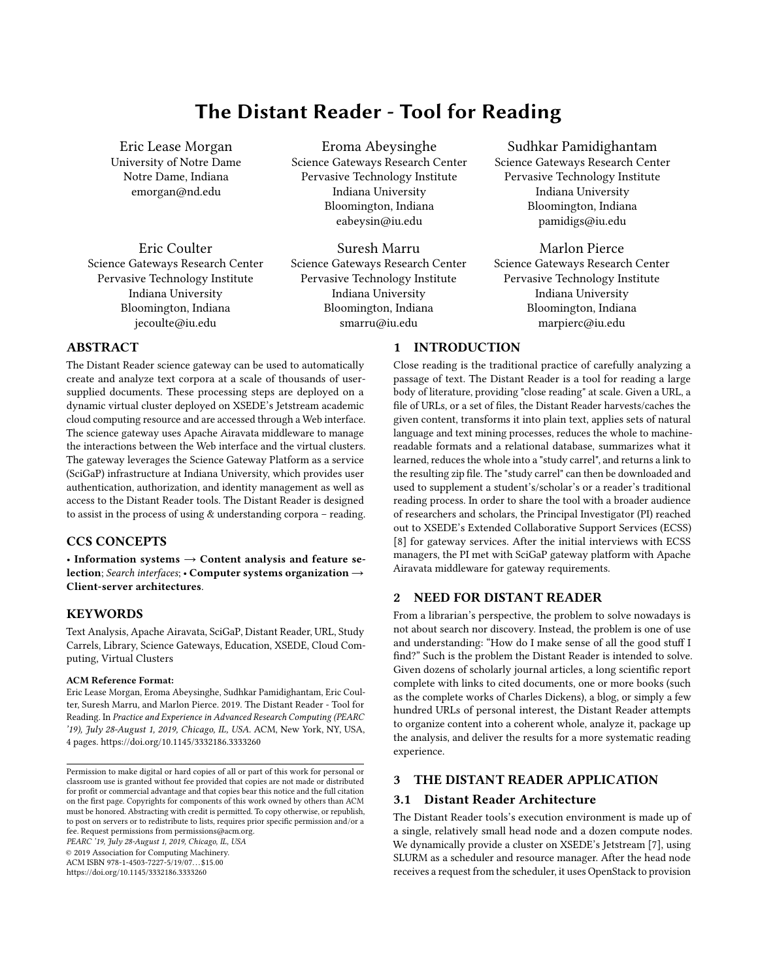# The Distant Reader - Tool for Reading

Eric Lease Morgan University of Notre Dame Notre Dame, Indiana emorgan@nd.edu

Eric Coulter Science Gateways Research Center Pervasive Technology Institute Indiana University Bloomington, Indiana jecoulte@iu.edu

Eroma Abeysinghe Science Gateways Research Center Pervasive Technology Institute Indiana University Bloomington, Indiana eabeysin@iu.edu

Suresh Marru Science Gateways Research Center Pervasive Technology Institute Indiana University Bloomington, Indiana smarru@iu.edu

1 INTRODUCTION

## Sudhkar Pamidighantam Science Gateways Research Center Pervasive Technology Institute Indiana University Bloomington, Indiana pamidigs@iu.edu

Marlon Pierce Science Gateways Research Center Pervasive Technology Institute Indiana University Bloomington, Indiana marpierc@iu.edu

# ABSTRACT

The Distant Reader science gateway can be used to automatically create and analyze text corpora at a scale of thousands of usersupplied documents. These processing steps are deployed on a dynamic virtual cluster deployed on XSEDE's Jetstream academic cloud computing resource and are accessed through a Web interface. The science gateway uses Apache Airavata middleware to manage the interactions between the Web interface and the virtual clusters. The gateway leverages the Science Gateway Platform as a service (SciGaP) infrastructure at Indiana University, which provides user authentication, authorization, and identity management as well as access to the Distant Reader tools. The Distant Reader is designed to assist in the process of using & understanding corpora – reading.

# CCS CONCEPTS

• Information systems  $\rightarrow$  Content analysis and feature selection; Search interfaces; • Computer systems organization → Client-server architectures.

## **KEYWORDS**

Text Analysis, Apache Airavata, SciGaP, Distant Reader, URL, Study Carrels, Library, Science Gateways, Education, XSEDE, Cloud Computing, Virtual Clusters

#### ACM Reference Format:

Eric Lease Morgan, Eroma Abeysinghe, Sudhkar Pamidighantam, Eric Coulter, Suresh Marru, and Marlon Pierce. 2019. The Distant Reader - Tool for Reading. In Practice and Experience in Advanced Research Computing (PEARC '19), July 28-August 1, 2019, Chicago, IL, USA. ACM, New York, NY, USA, [4](#page-3-0) pages.<https://doi.org/10.1145/3332186.3333260>

PEARC '19, July 28-August 1, 2019, Chicago, IL, USA © 2019 Association for Computing Machinery. ACM ISBN 978-1-4503-7227-5/19/07. . . \$15.00

<https://doi.org/10.1145/3332186.3333260>

Close reading is the traditional practice of carefully analyzing a passage of text. The Distant Reader is a tool for reading a large body of literature, providing "close reading" at scale. Given a URL, a file of URLs, or a set of files, the Distant Reader harvests/caches the given content, transforms it into plain text, applies sets of natural language and text mining processes, reduces the whole to machinereadable formats and a relational database, summarizes what it learned, reduces the whole into a "study carrel", and returns a link to the resulting zip file. The "study carrel" can then be downloaded and used to supplement a student's/scholar's or a reader's traditional reading process. In order to share the tool with a broader audience of researchers and scholars, the Principal Investigator (PI) reached out to XSEDE's Extended Collaborative Support Services (ECSS) [\[8\]](#page-3-1) for gateway services. After the initial interviews with ECSS managers, the PI met with SciGaP gateway platform with Apache Airavata middleware for gateway requirements.

## 2 NEED FOR DISTANT READER

From a librarian's perspective, the problem to solve nowadays is not about search nor discovery. Instead, the problem is one of use and understanding: "How do I make sense of all the good stuff I find?" Such is the problem the Distant Reader is intended to solve. Given dozens of scholarly journal articles, a long scientific report complete with links to cited documents, one or more books (such as the complete works of Charles Dickens), a blog, or simply a few hundred URLs of personal interest, the Distant Reader attempts to organize content into a coherent whole, analyze it, package up the analysis, and deliver the results for a more systematic reading experience.

## 3 THE DISTANT READER APPLICATION

## 3.1 Distant Reader Architecture

The Distant Reader tools's execution environment is made up of a single, relatively small head node and a dozen compute nodes. We dynamically provide a cluster on XSEDE's Jetstream [\[7\]](#page-3-2), using SLURM as a scheduler and resource manager. After the head node receives a request from the scheduler, it uses OpenStack to provision

Permission to make digital or hard copies of all or part of this work for personal or classroom use is granted without fee provided that copies are not made or distributed for profit or commercial advantage and that copies bear this notice and the full citation on the first page. Copyrights for components of this work owned by others than ACM must be honored. Abstracting with credit is permitted. To copy otherwise, or republish, to post on servers or to redistribute to lists, requires prior specific permission and/or a fee. Request permissions from permissions@acm.org.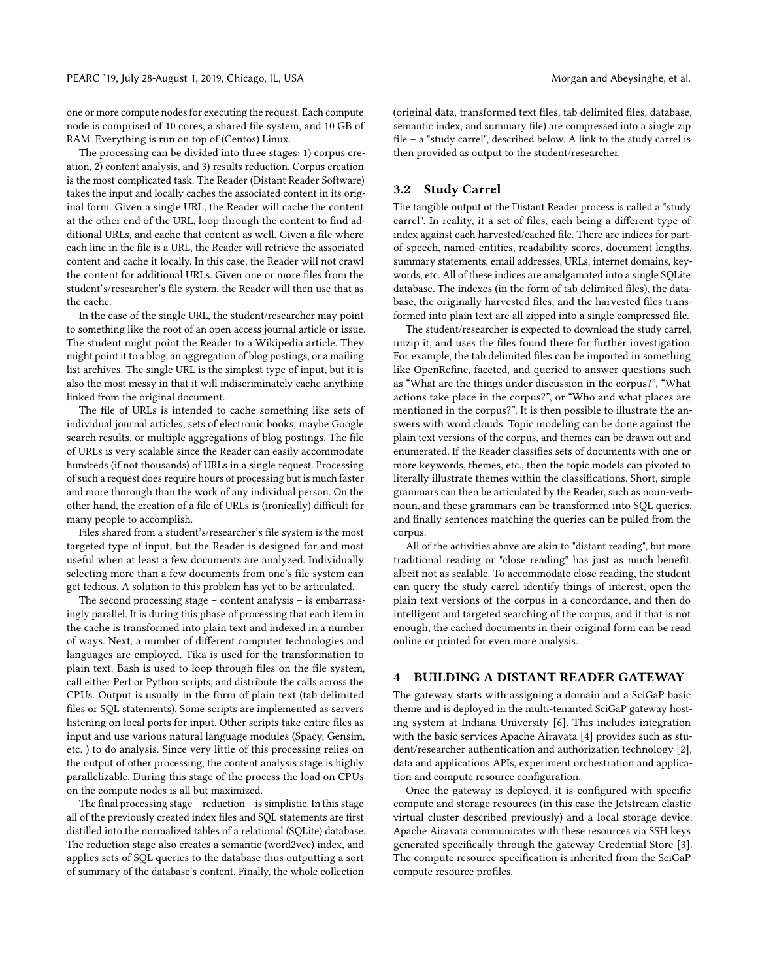one or more compute nodes for executing the request. Each compute node is comprised of 10 cores, a shared file system, and 10 GB of RAM. Everything is run on top of (Centos) Linux.

The processing can be divided into three stages: 1) corpus creation, 2) content analysis, and 3) results reduction. Corpus creation is the most complicated task. The Reader (Distant Reader Software) takes the input and locally caches the associated content in its original form. Given a single URL, the Reader will cache the content at the other end of the URL, loop through the content to find additional URLs, and cache that content as well. Given a file where each line in the file is a URL, the Reader will retrieve the associated content and cache it locally. In this case, the Reader will not crawl the content for additional URLs. Given one or more files from the student's/researcher's file system, the Reader will then use that as the cache.

In the case of the single URL, the student/researcher may point to something like the root of an open access journal article or issue. The student might point the Reader to a Wikipedia article. They might point it to a blog, an aggregation of blog postings, or a mailing list archives. The single URL is the simplest type of input, but it is also the most messy in that it will indiscriminately cache anything linked from the original document.

The file of URLs is intended to cache something like sets of individual journal articles, sets of electronic books, maybe Google search results, or multiple aggregations of blog postings. The file of URLs is very scalable since the Reader can easily accommodate hundreds (if not thousands) of URLs in a single request. Processing of such a request does require hours of processing but is much faster and more thorough than the work of any individual person. On the other hand, the creation of a file of URLs is (ironically) difficult for many people to accomplish.

Files shared from a student's/researcher's file system is the most targeted type of input, but the Reader is designed for and most useful when at least a few documents are analyzed. Individually selecting more than a few documents from one's file system can get tedious. A solution to this problem has yet to be articulated.

The second processing stage – content analysis – is embarrassingly parallel. It is during this phase of processing that each item in the cache is transformed into plain text and indexed in a number of ways. Next, a number of different computer technologies and languages are employed. Tika is used for the transformation to plain text. Bash is used to loop through files on the file system, call either Perl or Python scripts, and distribute the calls across the CPUs. Output is usually in the form of plain text (tab delimited files or SQL statements). Some scripts are implemented as servers listening on local ports for input. Other scripts take entire files as input and use various natural language modules (Spacy, Gensim, etc. ) to do analysis. Since very little of this processing relies on the output of other processing, the content analysis stage is highly parallelizable. During this stage of the process the load on CPUs on the compute nodes is all but maximized.

The final processing stage – reduction – is simplistic. In this stage all of the previously created index files and SQL statements are first distilled into the normalized tables of a relational (SQLite) database. The reduction stage also creates a semantic (word2vec) index, and applies sets of SQL queries to the database thus outputting a sort of summary of the database's content. Finally, the whole collection

(original data, transformed text files, tab delimited files, database, semantic index, and summary file) are compressed into a single zip file – a "study carrel", described below. A link to the study carrel is then provided as output to the student/researcher.

### 3.2 Study Carrel

The tangible output of the Distant Reader process is called a "study carrel". In reality, it a set of files, each being a different type of index against each harvested/cached file. There are indices for partof-speech, named-entities, readability scores, document lengths, summary statements, email addresses, URLs, internet domains, keywords, etc. All of these indices are amalgamated into a single SQLite database. The indexes (in the form of tab delimited files), the database, the originally harvested files, and the harvested files transformed into plain text are all zipped into a single compressed file.

The student/researcher is expected to download the study carrel, unzip it, and uses the files found there for further investigation. For example, the tab delimited files can be imported in something like OpenRefine, faceted, and queried to answer questions such as "What are the things under discussion in the corpus?", "What actions take place in the corpus?", or "Who and what places are mentioned in the corpus?". It is then possible to illustrate the answers with word clouds. Topic modeling can be done against the plain text versions of the corpus, and themes can be drawn out and enumerated. If the Reader classifies sets of documents with one or more keywords, themes, etc., then the topic models can pivoted to literally illustrate themes within the classifications. Short, simple grammars can then be articulated by the Reader, such as noun-verbnoun, and these grammars can be transformed into SQL queries, and finally sentences matching the queries can be pulled from the corpus.

All of the activities above are akin to "distant reading", but more traditional reading or "close reading" has just as much benefit, albeit not as scalable. To accommodate close reading, the student can query the study carrel, identify things of interest, open the plain text versions of the corpus in a concordance, and then do intelligent and targeted searching of the corpus, and if that is not enough, the cached documents in their original form can be read online or printed for even more analysis.

## 4 BUILDING A DISTANT READER GATEWAY

The gateway starts with assigning a domain and a SciGaP basic theme and is deployed in the multi-tenanted SciGaP gateway hosting system at Indiana University [\[6\]](#page-3-3). This includes integration with the basic services Apache Airavata [\[4\]](#page-3-4) provides such as student/researcher authentication and authorization technology [\[2\]](#page-3-5), data and applications APIs, experiment orchestration and application and compute resource configuration.

Once the gateway is deployed, it is configured with specific compute and storage resources (in this case the Jetstream elastic virtual cluster described previously) and a local storage device. Apache Airavata communicates with these resources via SSH keys generated specifically through the gateway Credential Store [\[3\]](#page-3-6). The compute resource specification is inherited from the SciGaP compute resource profiles.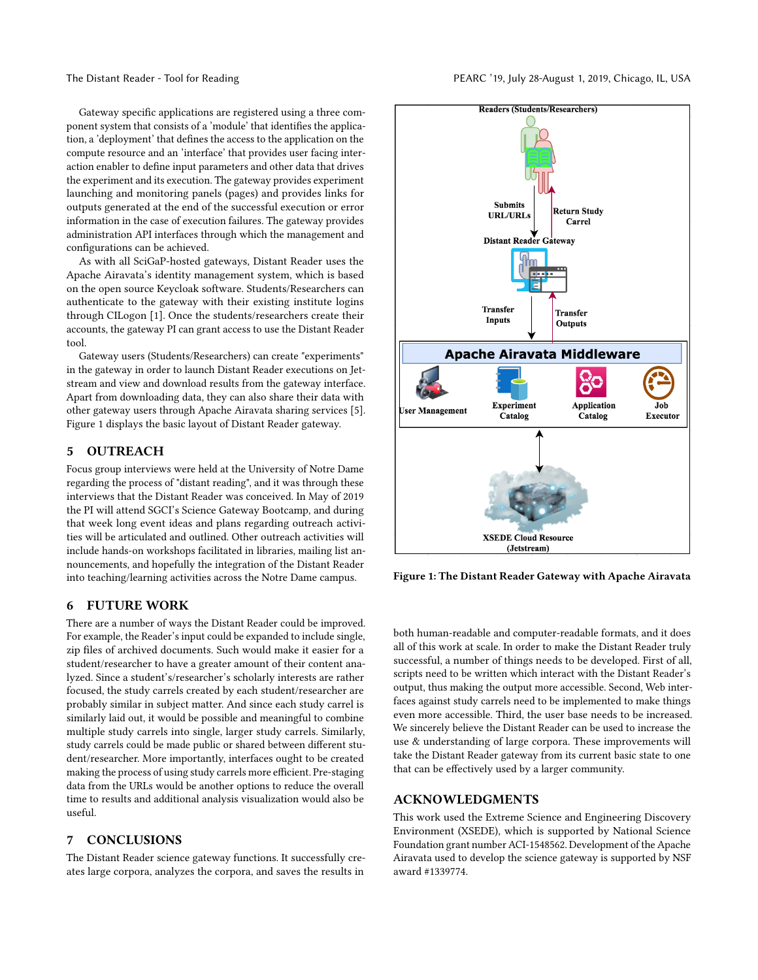Gateway specific applications are registered using a three component system that consists of a 'module' that identifies the application, a 'deployment' that defines the access to the application on the compute resource and an 'interface' that provides user facing interaction enabler to define input parameters and other data that drives the experiment and its execution. The gateway provides experiment launching and monitoring panels (pages) and provides links for outputs generated at the end of the successful execution or error information in the case of execution failures. The gateway provides administration API interfaces through which the management and configurations can be achieved.

As with all SciGaP-hosted gateways, Distant Reader uses the Apache Airavata's identity management system, which is based on the open source Keycloak software. Students/Researchers can authenticate to the gateway with their existing institute logins through CILogon [\[1\]](#page-3-7). Once the students/researchers create their accounts, the gateway PI can grant access to use the Distant Reader tool.

Gateway users (Students/Researchers) can create "experiments" in the gateway in order to launch Distant Reader executions on Jetstream and view and download results from the gateway interface. Apart from downloading data, they can also share their data with other gateway users through Apache Airavata sharing services [\[5\]](#page-3-8). Figure [1](#page-2-0) displays the basic layout of Distant Reader gateway.

## 5 OUTREACH

Focus group interviews were held at the University of Notre Dame regarding the process of "distant reading", and it was through these interviews that the Distant Reader was conceived. In May of 2019 the PI will attend SGCI's Science Gateway Bootcamp, and during that week long event ideas and plans regarding outreach activities will be articulated and outlined. Other outreach activities will include hands-on workshops facilitated in libraries, mailing list announcements, and hopefully the integration of the Distant Reader into teaching/learning activities across the Notre Dame campus.

#### 6 FUTURE WORK

There are a number of ways the Distant Reader could be improved. For example, the Reader's input could be expanded to include single, zip files of archived documents. Such would make it easier for a student/researcher to have a greater amount of their content analyzed. Since a student's/researcher's scholarly interests are rather focused, the study carrels created by each student/researcher are probably similar in subject matter. And since each study carrel is similarly laid out, it would be possible and meaningful to combine multiple study carrels into single, larger study carrels. Similarly, study carrels could be made public or shared between different student/researcher. More importantly, interfaces ought to be created making the process of using study carrels more efficient. Pre-staging data from the URLs would be another options to reduce the overall time to results and additional analysis visualization would also be useful.

### 7 CONCLUSIONS

The Distant Reader science gateway functions. It successfully creates large corpora, analyzes the corpora, and saves the results in

<span id="page-2-0"></span>

Figure 1: The Distant Reader Gateway with Apache Airavata

both human-readable and computer-readable formats, and it does all of this work at scale. In order to make the Distant Reader truly successful, a number of things needs to be developed. First of all, scripts need to be written which interact with the Distant Reader's output, thus making the output more accessible. Second, Web interfaces against study carrels need to be implemented to make things even more accessible. Third, the user base needs to be increased. We sincerely believe the Distant Reader can be used to increase the use & understanding of large corpora. These improvements will take the Distant Reader gateway from its current basic state to one that can be effectively used by a larger community.

#### ACKNOWLEDGMENTS

This work used the Extreme Science and Engineering Discovery Environment (XSEDE), which is supported by National Science Foundation grant number ACI-1548562. Development of the Apache Airavata used to develop the science gateway is supported by NSF award #1339774.